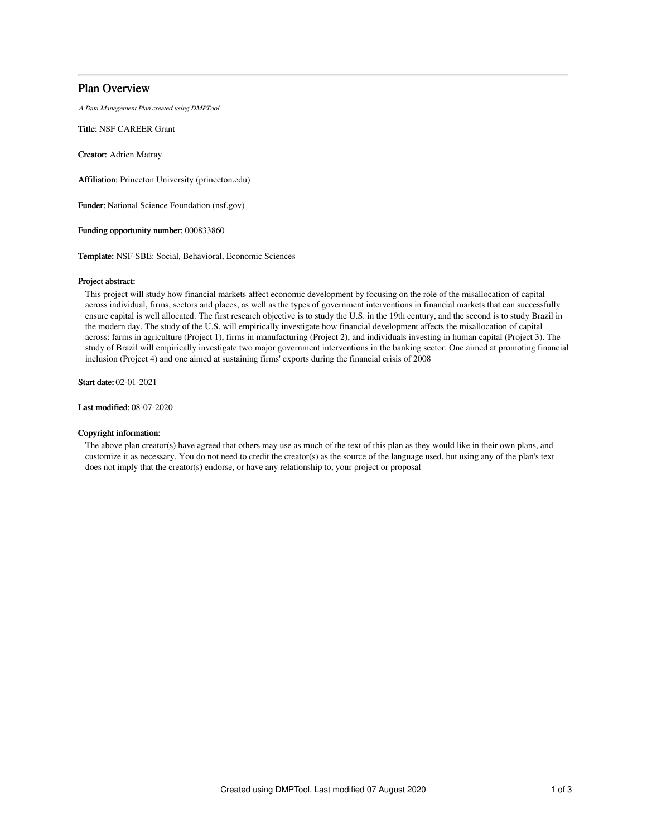# Plan Overview

A Data Management Plan created using DMPTool

Title: NSF CAREER Grant

Creator: Adrien Matray

Affiliation: Princeton University (princeton.edu)

Funder: National Science Foundation (nsf.gov)

Funding opportunity number: 000833860

Template: NSF-SBE: Social, Behavioral, Economic Sciences

# Project abstract:

This project will study how financial markets affect economic development by focusing on the role of the misallocation of capital across individual, firms, sectors and places, as well as the types of government interventions in financial markets that can successfully ensure capital is well allocated. The first research objective is to study the U.S. in the 19th century, and the second is to study Brazil in the modern day. The study of the U.S. will empirically investigate how financial development affects the misallocation of capital across: farms in agriculture (Project 1), firms in manufacturing (Project 2), and individuals investing in human capital (Project 3). The study of Brazil will empirically investigate two major government interventions in the banking sector. One aimed at promoting financial inclusion (Project 4) and one aimed at sustaining firms' exports during the financial crisis of 2008

Start date: 02-01-2021

Last modified: 08-07-2020

# Copyright information:

The above plan creator(s) have agreed that others may use as much of the text of this plan as they would like in their own plans, and customize it as necessary. You do not need to credit the creator(s) as the source of the language used, but using any of the plan's text does not imply that the creator(s) endorse, or have any relationship to, your project or proposal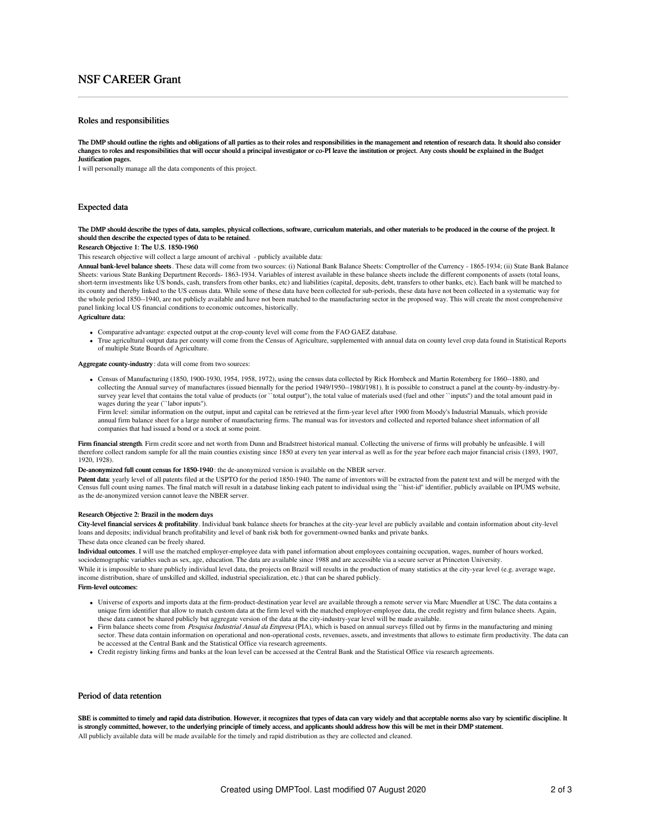# NSF CAREER Grant

## Roles and responsibilities

The DMP should outline the rights and obligations of all parties as to their roles and responsibilities in the management and retention of research data. It should also consider changes to roles and responsibilities that will occur should a principal investigator or co-PI leave the institution or project. Any costs should be explained in the Budget Justification pages.

I will personally manage all the data components of this project.

### Expected data

### The DMP should describe the types of data, samples, physical collections, software, curriculum materials, and other materials to be produced in the course of the project. It should then describe the expected types of data to be retained.

### Research Objective 1: The U.S. 1850-1960

This research objective will collect a large amount of archival - publicly available data:

Annual bank-level balance sheets. These data will come from two sources: (i) National Bank Balance Sheets: Comptroller of the Currency - 1865-1934; (ii) State Bank Balance Sheets: various State Banking Department Records- 1863-1934. Variables of interest available in these balance sheets include the different components of assets (total loans, short-term investments like US bonds, cash, transfers from other banks, etc) and liabilities (capital, deposits, debt, transfers to other banks, etc). Each bank will be matched to its county and thereby linked to the US census data. While some of these data have been collected for sub-periods, these data have not been collected in a systematic way for the whole period 1850--1940, are not publicly available and have not been matched to the manufacturing sector in the proposed way. This will create the most comprehensive panel linking local US financial conditions to economic outcomes, historically.

#### Agriculture data:

- Comparative advantage: expected output at the crop-county level will come from the FAO GAEZ database.
- True agricultural output data per county will come from the Census of Agriculture, supplemented with annual data on county level crop data found in Statistical Reports of multiple State Boards of Agriculture.

#### Aggregate county-industry : data will come from two sources:

Census of Manufacturing (1850, 1900-1930, 1954, 1958, 1972), using the census data collected by Rick Hornbeck and Martin Rotemberg for 1860--1880, and collecting the Annual survey of manufactures (issued biennally for the period 1949/1950--1980/1981). It is possible to construct a panel at the county-by-industry-bysurvey year level that contains the total value of products (or ``total output''), the total value of materials used (fuel and other ``inputs'') and the total amount paid in wages during the year (``labor inputs'').

Firm level: similar information on the output, input and capital can be retrieved at the firm-year level after 1900 from Moody's Industrial Manuals, which provide annual firm balance sheet for a large number of manufacturing firms. The manual was for investors and collected and reported balance sheet information of all companies that had issued a bond or a stock at some point.

Firm financial strength. Firm credit score and net worth from Dunn and Bradstreet historical manual. Collecting the universe of firms will probably be unfeasible. I will therefore collect random sample for all the main counties existing since 1850 at every ten year interval as well as for the year before each major financial crisis (1893, 1907, 1920, 1928).

### De-anonymized full count census for 1850-1940 : the de-anonymized version is available on the NBER server.

Patent data: yearly level of all patents filed at the USPTO for the period 1850-1940. The name of inventors will be extracted from the patent text and will be merged with the Census full count using names. The final match will result in a database linking each patent to individual using the ``hist-id'' identifier, publicly available on IPUMS website, as the de-anonymized version cannot leave the NBER server.

#### Research Objective 2: Brazil in the modern days

City-level financial services & profitability. Individual bank balance sheets for branches at the city-year level are publicly available and contain information about city-level loans and deposits; individual branch profitability and level of bank risk both for government-owned banks and private banks.

These data once cleaned can be freely shared.

Individual outcomes. I will use the matched employer-employee data with panel information about employees containing occupation, wages, number of hours worked, sociodemographic variables such as sex, age, education. The data are available since 1988 and are accessible via a secure server at Princeton University.

While it is impossible to share publicly individual level data, the projects on Brazil will results in the production of many statistics at the city-year level (e.g. average wage, income distribution, share of unskilled and skilled, industrial specialization, etc.) that can be shared publicly.

#### Firm-level outcomes:

- Universe of exports and imports data at the firm-product-destination year level are available through a remote server via Marc Muendler at USC. The data contains a unique firm identifier that allow to match custom data at the firm level with the matched employer-employee data, the credit registry and firm balance sheets. Again, these data cannot be shared publicly but aggregate version of the data at the city-industry-year level will be made available.
- Firm balance sheets come from *Pesquisa Industrial Anual da Empresa* (PIA), which is based on annual surveys filled out by firms in the manufacturing and mining sector. These data contain information on operational and non-operational costs, revenues, assets, and investments that allows to estimate firm productivity. The data can be accessed at the Central Bank and the Statistical Office via research agreements.
- Credit registry linking firms and banks at the loan level can be accessed at the Central Bank and the Statistical Office via research agreements.

# Period of data retention

SBE is committed to timely and rapid data distribution. However, it recognizes that types of data can vary widely and that acceptable norms also vary by scientific discipline. It is strongly committed, however, to the underlying principle of timely access, and applicants should address how this will be met in their DMP statement. All publicly available data will be made available for the timely and rapid distribution as they are collected and cleaned.